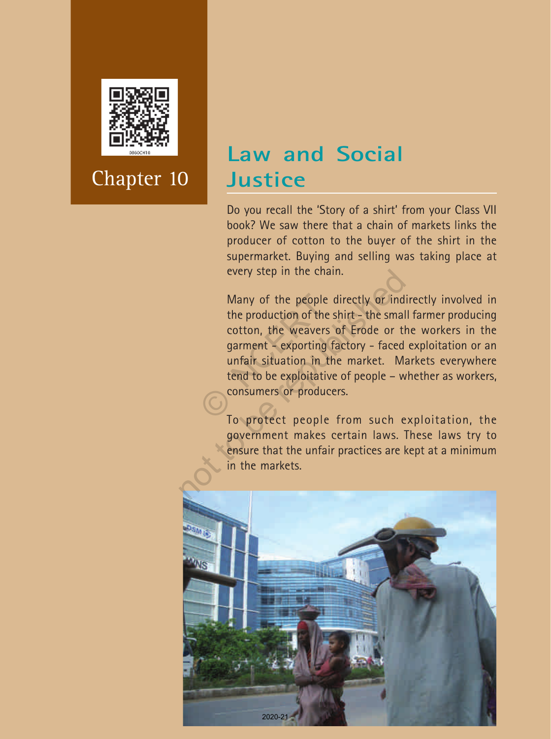

## **Law and Social Justice**

Do you recall the 'Story of a shirt' from your Class VII book? We saw there that a chain of markets links the producer of cotton to the buyer of the shirt in the supermarket. Buying and selling was taking place at every step in the chain.

Many of the people directly or indirectly involved in the production of the shirt - the small farmer producing cotton, the weavers of Erode or the workers in the garment - exporting factory - faced exploitation or an unfair situation in the market. Markets everywhere tend to be exploitative of people – whether as workers, consumers or producers. Many of the people of<br>the production of the s<br>cotton, the weavers<br>garment - exporting f<br>unfair situation in the<br>tend to be exploitative<br>consumers or produce every step in the chain.<br>
Many of the people directly or ind<br>
the production of the shirt – the smal<br>
cotton, the weavers of Erode or th<br>
garment – exporting factory – faced<br>
unfair situation in the market. M:<br>
tend to be

To protect people from such exploitation, the government makes certain laws. These laws try to ensure that the unfair practices are kept at a minimum in the markets.

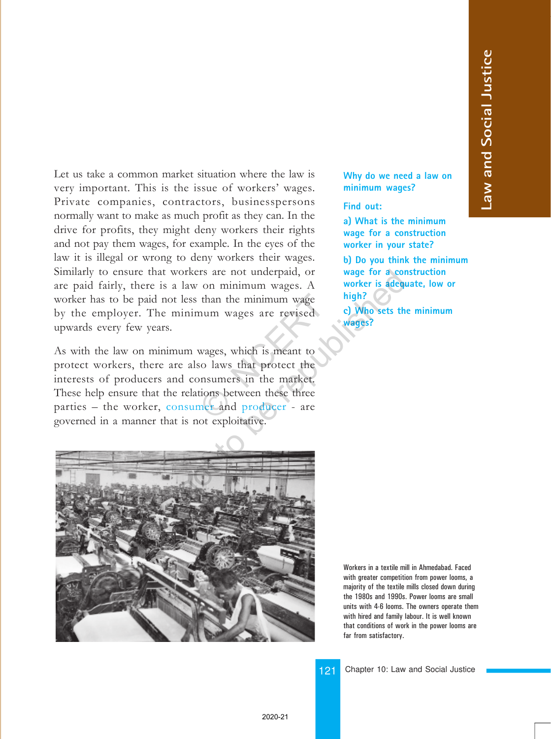Let us take a common market situation where the law is very important. This is the issue of workers' wages. Private companies, contractors, businesspersons normally want to make as much profit as they can. In the drive for profits, they might deny workers their rights and not pay them wages, for example. In the eyes of the law it is illegal or wrong to deny workers their wages. Similarly to ensure that workers are not underpaid, or are paid fairly, there is a law on minimum wages. A worker has to be paid not less than the minimum wage by the employer. The minimum wages are revised upwards every few years.

As with the law on minimum wages, which is meant to protect workers, there are also laws that protect the interests of producers and consumers in the market. These help ensure that the relations between these three parties – the worker, consumer and producer - are governed in a manner that is not exploitative. than the minimum wage<br>
num wages are revised<br>
wages, which is meant to<br>
so laws that protect the<br>
nonsumers in the market.<br>
tions between these three<br>
ner and producer - are<br>
at ambitation orkers are not underpaid, or<br>law on minimum wages. A<br>less than the minimum wage<br>inimum wages are revised<br>inimum wages are revised<br>of the protect<br>of the protect the<br>d consumers in the market.<br>relations between these three<br>i



**Why do we need a law on minimum wages?**

**Find out:**

**a) What is the minimum wage for a construction worker in your state?**

**b) Do you think the minimum wage for a construction worker is adequate, low or high?**

**c) Who sets the minimum wages?**

Workers in a textile mill in Ahmedabad. Faced with greater competition from power looms, a majority of the textile mills closed down during the 1980s and 1990s. Power looms are small units with 4-6 looms. The owners operate them with hired and family labour. It is well known that conditions of work in the power looms are far from satisfactory.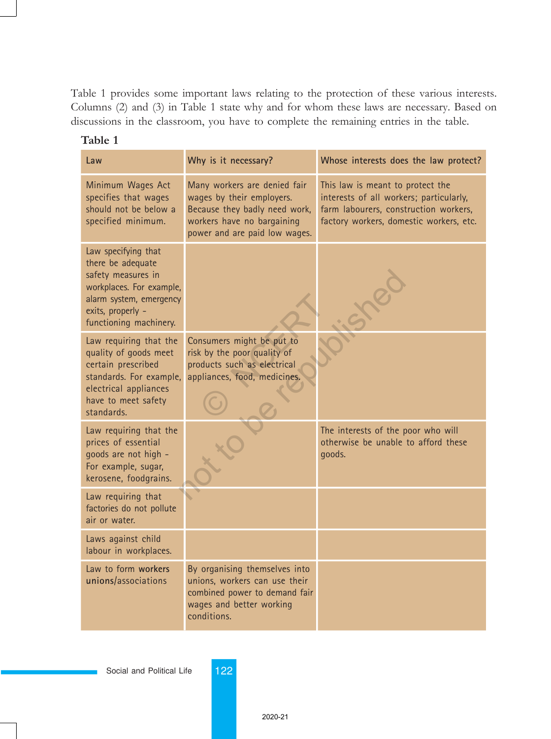Table 1 provides some important laws relating to the protection of these various interests. Columns (2) and (3) in Table 1 state why and for whom these laws are necessary. Based on discussions in the classroom, you have to complete the remaining entries in the table.

| Law                                                                                                                                                                  | Why is it necessary?                                                                                                                                      | Whose interests does the law protect?                                                                                                                           |
|----------------------------------------------------------------------------------------------------------------------------------------------------------------------|-----------------------------------------------------------------------------------------------------------------------------------------------------------|-----------------------------------------------------------------------------------------------------------------------------------------------------------------|
| Minimum Wages Act<br>specifies that wages<br>should not be below a<br>specified minimum.                                                                             | Many workers are denied fair<br>wages by their employers.<br>Because they badly need work,<br>workers have no bargaining<br>power and are paid low wages. | This law is meant to protect the<br>interests of all workers; particularly,<br>farm labourers, construction workers,<br>factory workers, domestic workers, etc. |
| Law specifying that<br>there be adequate<br>safety measures in<br>workplaces. For example,<br>alarm system, emergency<br>exits, properly -<br>functioning machinery. |                                                                                                                                                           |                                                                                                                                                                 |
| Law requiring that the<br>quality of goods meet<br>certain prescribed<br>standards. For example,<br>electrical appliances<br>have to meet safety<br>standards.       | Consumers might be put to<br>risk by the poor quality of<br>products such as electrical<br>appliances, food, medicines.                                   |                                                                                                                                                                 |
| Law requiring that the<br>prices of essential<br>goods are not high -<br>For example, sugar,<br>kerosene, foodgrains.                                                |                                                                                                                                                           | The interests of the poor who will<br>otherwise be unable to afford these<br>goods.                                                                             |
| Law requiring that<br>factories do not pollute<br>air or water.                                                                                                      |                                                                                                                                                           |                                                                                                                                                                 |
| Laws against child<br>labour in workplaces.                                                                                                                          |                                                                                                                                                           |                                                                                                                                                                 |
| Law to form workers<br>unions/associations                                                                                                                           | By organising themselves into<br>unions, workers can use their<br>combined power to demand fair<br>wages and better working<br>conditions.                |                                                                                                                                                                 |

| Table |
|-------|
|-------|

Social and Political Life 122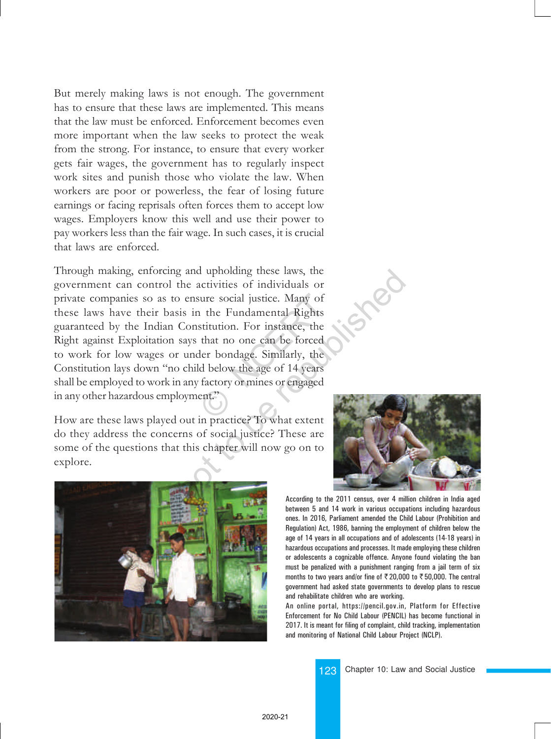But merely making laws is not enough. The government has to ensure that these laws are implemented. This means that the law must be enforced. Enforcement becomes even more important when the law seeks to protect the weak from the strong. For instance, to ensure that every worker gets fair wages, the government has to regularly inspect work sites and punish those who violate the law. When workers are poor or powerless, the fear of losing future earnings or facing reprisals often forces them to accept low wages. Employers know this well and use their power to pay workers less than the fair wage. In such cases, it is crucial that laws are enforced.

Through making, enforcing and upholding these laws, the government can control the activities of individuals or private companies so as to ensure social justice. Many of these laws have their basis in the Fundamental Rights guaranteed by the Indian Constitution. For instance, the Right against Exploitation says that no one can be forced to work for low wages or under bondage. Similarly, the Constitution lays down "no child below the age of 14 years shall be employed to work in any factory or mines or engaged in any other hazardous employment." sure social justice. Many of<br>
1 the Fundamental Rights<br>
stitution. For instance, the<br>
that no one can be forced<br>
der bondage. Similarly, the<br>
d below the age of 14 years<br>
factory or mines or engaged<br>
ent." republished a the problem to the partial and the particle of individuals or<br>
the activities of individuals or<br>
is in the Fundamental Rights<br>
Constitution. For instance, the<br>
says that no one can be forced<br>
under bondage. S

How are these laws played out in practice? To what extent do they address the concerns of social justice? These are some of the questions that this chapter will now go on to explore.





According to the 2011 census, over 4 million children in India aged between 5 and 14 work in various occupations including hazardous ones. In 2016, Parliament amended the Child Labour (Prohibition and Regulation) Act, 1986, banning the employment of children below the age of 14 years in all occupations and of adolescents (14-18 years) in hazardous occupations and processes. It made employing these children or adolescents a cognizable offence. Anyone found violating the ban must be penalized with a punishment ranging from a jail term of six months to two years and/or fine of  $\overline{5}$  20,000 to  $\overline{5}$  50,000. The central government had asked state governments to develop plans to rescue and rehabilitate children who are working.

An online portal, https://pencil.gov.in, Platform for Effective Enforcement for No Child Labour (PENCIL) has become functional in 2017. It is meant for filing of complaint, child tracking, implementation and monitoring of National Child Labour Project (NCLP).

123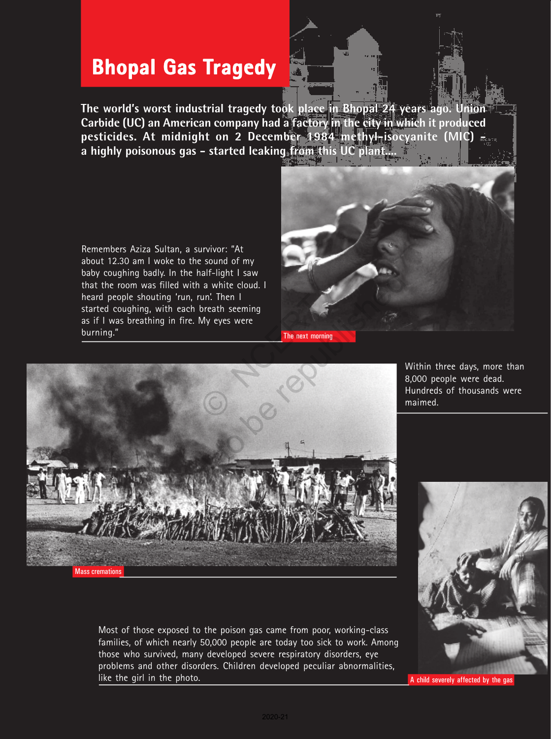## **Bhopal Gas Tragedy**

**The world's worst industrial tragedy took place in Bhopal 24 years ago. Union Carbide (UC) an American company had a factory in the city in which it produced pesticides. At midnight on 2 December 1984 methyl-isocyanite (MIC)**  a highly poisonous gas - started leaking from this UC plant.

Remembers Aziza Sultan, a survivor: "At about 12.30 am I woke to the sound of my baby coughing badly. In the half-light I saw that the room was filled with a white cloud. I heard people shouting 'run, run'. Then I started coughing, with each breath seeming as if I was breathing in fire. My eyes were burning."





Most of those exposed to the poison gas came from poor, working-class families, of which nearly 50,000 people are today too sick to work. Among those who survived, many developed severe respiratory disorders, eye problems and other disorders. Children developed peculiar abnormalities, like the girl in the photo.

Within three days, more than 8,000 people were dead. Hundreds of thousands were maimed.



A child severely affected by the gas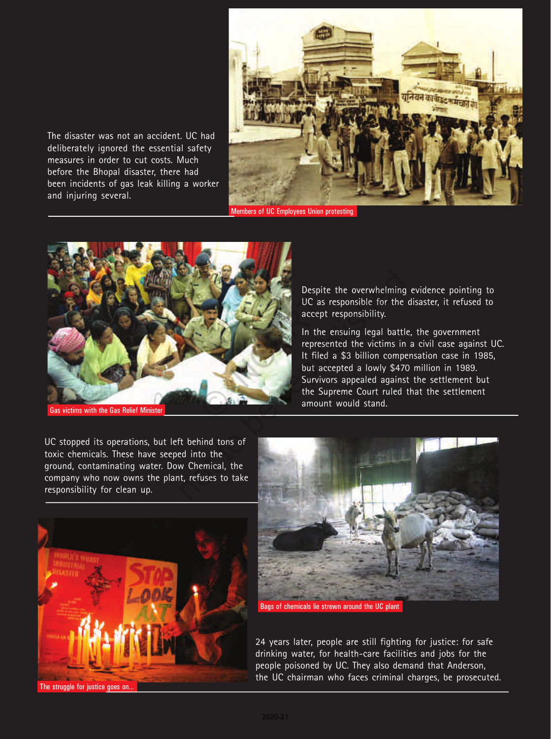

The disaster was not an accident. UC had deliberately ignored the essential safety measures in order to cut costs. Much before the Bhopal disaster, there had been incidents of gas leak killing a worker and injuring several.

Members of UC Employees Union protesting



Gas victims with the Gas Relief Minister

Despite the overwhelming evidence pointing to UC as responsible for the disaster, it refused to accept responsibility.

In the ensuing legal battle, the government represented the victims in a civil case against UC. It filed a \$3 billion compensation case in 1985, but accepted a lowly \$470 million in 1989. Survivors appealed against the settlement but the Supreme Court ruled that the settlement amount would stand.

UC stopped its operations, but left behind tons of toxic chemicals. These have seeped into the ground, contaminating water. Dow Chemical, the company who now owns the plant, refuses to take responsibility for clean up.





Bags of chemicals lie strewn around the UC plant

24 years later, people are still fighting for justice: for safe drinking water, for health-care facilities and jobs for the people poisoned by UC. They also demand that Anderson, the UC chairman who faces criminal charges, be prosecuted.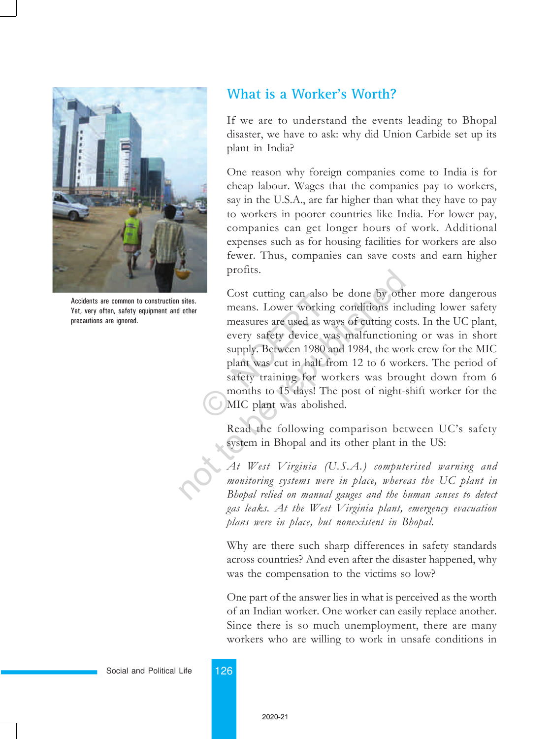

Accidents are common to construction sites. Yet, very often, safety equipment and other precautions are ignored.

### **What is a Worker's Worth?**

If we are to understand the events leading to Bhopal disaster, we have to ask: why did Union Carbide set up its plant in India?

One reason why foreign companies come to India is for cheap labour. Wages that the companies pay to workers, say in the U.S.A., are far higher than what they have to pay to workers in poorer countries like India. For lower pay, companies can get longer hours of work. Additional expenses such as for housing facilities for workers are also fewer. Thus, companies can save costs and earn higher profits.

Cost cutting can also be done by other more dangerous means. Lower working conditions including lower safety measures are used as ways of cutting costs. In the UC plant, every safety device was malfunctioning or was in short supply. Between 1980 and 1984, the work crew for the MIC plant was cut in half from 12 to 6 workers. The period of safety training for workers was brought down from 6 months to 15 days! The post of night-shift worker for the MIC plant was abolished. Cost cutting can also the<br>means. Lower working<br>measures are used as wa<br>every safety device wa<br>supply. Between 1980 at<br>plant was cut in half fre<br>safety training for wo<br>months to 15 days! The<br>MIC plant was abolishe profits.<br>
Cost cutting can also be done by oth<br>
means. Lower working conditions inc<br>
measures are used as ways of cutting cor<br>
every safety device was malfunctionis<br>
supply. Between 1980 and 1984, the wo<br>
plant was cut in

Read the following comparison between UC's safety system in Bhopal and its other plant in the US:

At West Virginia (U.S.A.) computerised warning and monitoring systems were in place, whereas the UC plant in Bhopal relied on manual gauges and the human senses to detect gas leaks. At the West Virginia plant, emergency evacuation plans were in place, but nonexistent in Bhopal.

Why are there such sharp differences in safety standards across countries? And even after the disaster happened, why was the compensation to the victims so low?

One part of the answer lies in what is perceived as the worth of an Indian worker. One worker can easily replace another. Since there is so much unemployment, there are many workers who are willing to work in unsafe conditions in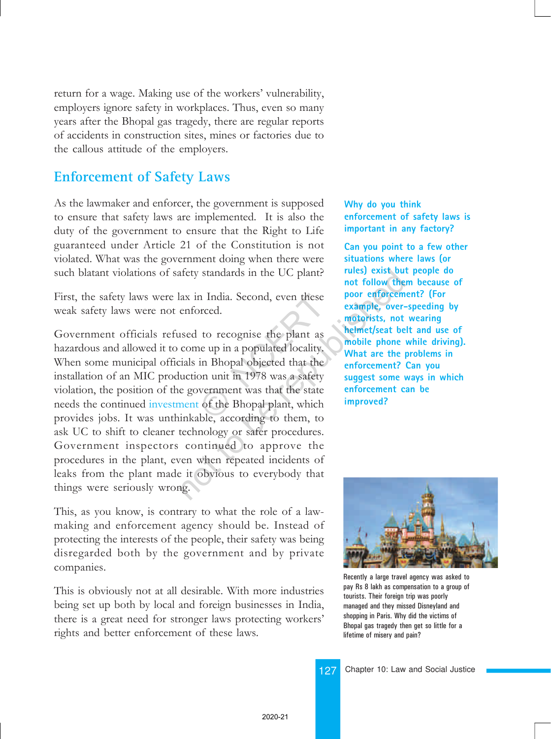return for a wage. Making use of the workers' vulnerability, employers ignore safety in workplaces. Thus, even so many years after the Bhopal gas tragedy, there are regular reports of accidents in construction sites, mines or factories due to the callous attitude of the employers.

## **Enforcement of Safety Laws**

As the lawmaker and enforcer, the government is supposed to ensure that safety laws are implemented. It is also the duty of the government to ensure that the Right to Life guaranteed under Article 21 of the Constitution is not violated. What was the government doing when there were such blatant violations of safety standards in the UC plant?

First, the safety laws were lax in India. Second, even these weak safety laws were not enforced.

Government officials refused to recognise the plant as hazardous and allowed it to come up in a populated locality. When some municipal officials in Bhopal objected that the installation of an MIC production unit in 1978 was a safety violation, the position of the government was that the state needs the continued investment of the Bhopal plant, which provides jobs. It was unthinkable, according to them, to ask UC to shift to cleaner technology or safer procedures. Government inspectors continued to approve the procedures in the plant, even when repeated incidents of leaks from the plant made it obvious to everybody that things were seriously wrong. India. Second, even these<br>
orced.<br>
to recognise the plant as<br>
ne up in a populated locality.<br>
in Bhopal objected that the<br>
on unit in 1978 was a safety<br>
vernment was that the state<br>
of the Bhopal plant, which<br>
ble accordin The standards in the UC plant?<br>
The republished and the total wind follow the<br>
enforced.<br>
Example, over-<br>
motorists, not<br>
seed to recognise the plant as<br>
come up in a populated locality.<br>
The republic phone<br>
values in Bhop

This, as you know, is contrary to what the role of a lawmaking and enforcement agency should be. Instead of protecting the interests of the people, their safety was being disregarded both by the government and by private companies.

This is obviously not at all desirable. With more industries being set up both by local and foreign businesses in India, there is a great need for stronger laws protecting workers' rights and better enforcement of these laws.

**Why do you think enforcement of safety laws is important in any factory?**

**Can you point to a few other situations where laws (or rules) exist but people do not follow them because of poor enforcement? (For example, over-speeding by motorists, not wearing helmet/seat belt and use of mobile phone while driving). What are the problems in enforcement? Can you suggest some ways in which enforcement can be improved?**



Recently a large travel agency was asked to pay Rs 8 lakh as compensation to a group of tourists. Their foreign trip was poorly managed and they missed Disneyland and shopping in Paris. Why did the victims of Bhopal gas tragedy then get so little for a lifetime of misery and pain?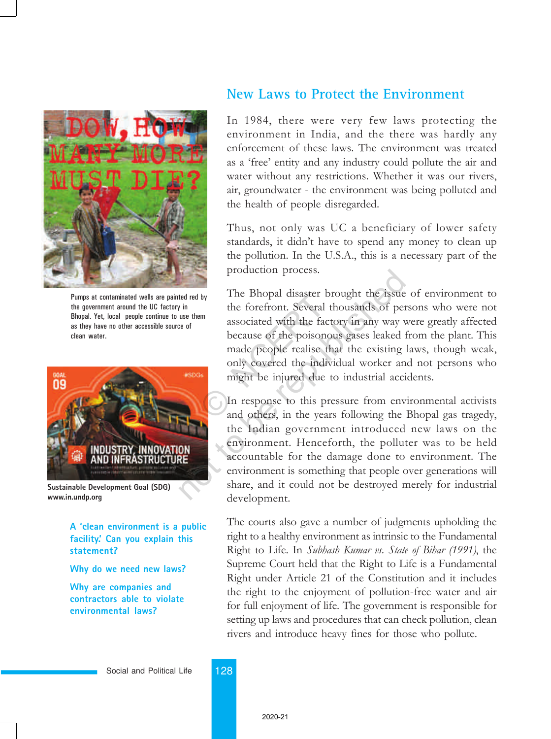

Pumps at contaminated wells are painted red by the government around the UC factory in Bhopal. Yet, local people continue to use them as they have no other accessible source of clean water.



**Sustainable Development Goal (SDG) www.in.undp.org**

**A 'clean environment is a public facility.' Can you explain this statement?**

**Why do we need new laws?**

**Why are companies and contractors able to violate environmental laws?**

### **New Laws to Protect the Environment**

In 1984, there were very few laws protecting the environment in India, and the there was hardly any enforcement of these laws. The environment was treated as a 'free' entity and any industry could pollute the air and water without any restrictions. Whether it was our rivers, air, groundwater - the environment was being polluted and the health of people disregarded.

Thus, not only was UC a beneficiary of lower safety standards, it didn't have to spend any money to clean up the pollution. In the U.S.A., this is a necessary part of the production process.

The Bhopal disaster brought the issue of environment to the forefront. Several thousands of persons who were not associated with the factory in any way were greatly affected because of the poisonous gases leaked from the plant. This made people realise that the existing laws, though weak, only covered the individual worker and not persons who might be injured due to industrial accidents. by<br>the forefront. Several the fact<br>the forefront. Several the sassociated with the fact<br>because of the poisonor<br>made people realise the only covered the indivi<br>might be injured due to<br>In response to this pre<br>and others, in

In response to this pressure from environmental activists and others, in the years following the Bhopal gas tragedy, the Indian government introduced new laws on the environment. Henceforth, the polluter was to be held accountable for the damage done to environment. The environment is something that people over generations will share, and it could not be destroyed merely for industrial development. production process.<br>
ted red by<br>
The Bhopal disaster brought the issue<br>
the forefront. Several thousands of per<br>
associated with the factory in any way v<br>
because of the poisonous gases leaked 1<br>
made people realise that t

> The courts also gave a number of judgments upholding the right to a healthy environment as intrinsic to the Fundamental Right to Life. In Subhash Kumar vs. State of Bihar (1991), the Supreme Court held that the Right to Life is a Fundamental Right under Article 21 of the Constitution and it includes the right to the enjoyment of pollution-free water and air for full enjoyment of life. The government is responsible for setting up laws and procedures that can check pollution, clean rivers and introduce heavy fines for those who pollute.

Social and Political Life 128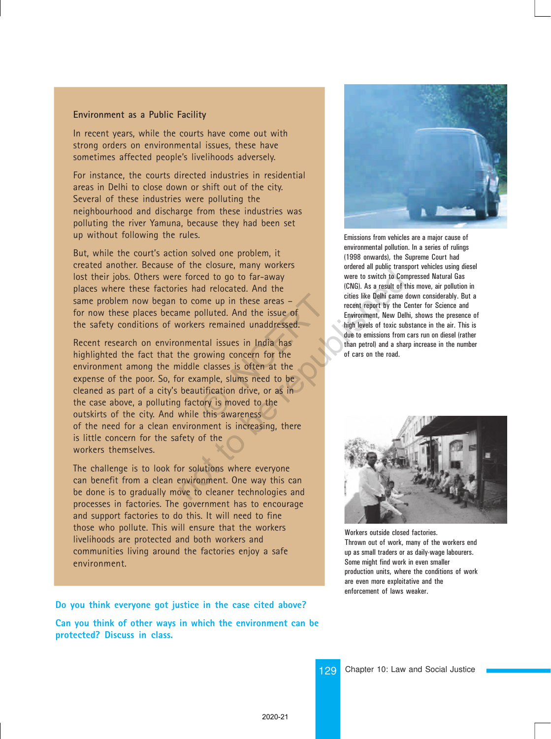### **Environment as a Public Facility**

In recent years, while the courts have come out with strong orders on environmental issues, these have sometimes affected people's livelihoods adversely.

For instance, the courts directed industries in residential areas in Delhi to close down or shift out of the city. Several of these industries were polluting the neighbourhood and discharge from these industries was polluting the river Yamuna, because they had been set up without following the rules.

But, while the court's action solved one problem, it created another. Because of the closure, many workers lost their jobs. Others were forced to go to far-away places where these factories had relocated. And the same problem now began to come up in these areas – for now these places became polluted. And the issue of the safety conditions of workers remained unaddressed.

Recent research on environmental issues in India has highlighted the fact that the growing concern for the environment among the middle classes is often at the expense of the poor. So, for example, slums need to be cleaned as part of a city's beautification drive, or as in the case above, a polluting factory is moved to the outskirts of the city. And while this awareness of the need for a clean environment is increasing, there is little concern for the safety of the workers themselves. ome up in these areas –<br>
solluted. And the issue of<br>
rs remained unaddressed.<br>
atal issues in India has<br>
rowing concern for the<br>
classes is often at the<br>
expanse in the sample, slums need to be<br>
tification drive, or as in<br> Example to be to far-away<br>
the forced to go to far-away<br>
the to come up in these areas –<br>
me polluted. And the issue of<br>
republished and the size of<br>
republished and the size of<br>
republished and the size of<br>
faint levels o

The challenge is to look for solutions where everyone can benefit from a clean environment. One way this can be done is to gradually move to cleaner technologies and processes in factories. The government has to encourage and support factories to do this. It will need to fine those who pollute. This will ensure that the workers livelihoods are protected and both workers and communities living around the factories enjoy a safe environment.

**Do you think everyone got justice in the case cited above?**

**Can you think of other ways in which the environment can be protected? Discuss in class.**



Emissions from vehicles are a major cause of environmental pollution. In a series of rulings (1998 onwards), the Supreme Court had ordered all public transport vehicles using diesel were to switch to Compressed Natural Gas (CNG). As a result of this move, air pollution in cities like Delhi came down considerably. But a recent report by the Center for Science and Environment, New Delhi, shows the presence of high levels of toxic substance in the air. This is due to emissions from cars run on diesel (rather than petrol) and a sharp increase in the number of cars on the road.



Workers outside closed factories. Thrown out of work, many of the workers end up as small traders or as daily-wage labourers. Some might find work in even smaller production units, where the conditions of work are even more exploitative and the enforcement of laws weaker.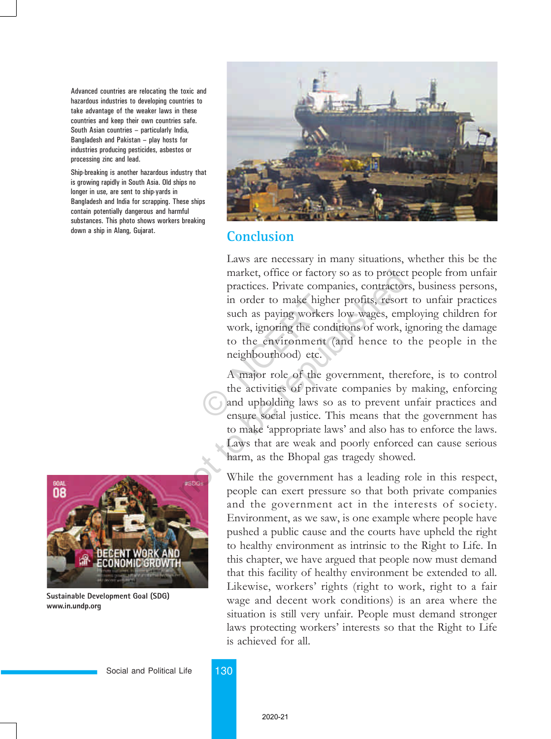Advanced countries are relocating the toxic and hazardous industries to developing countries to take advantage of the weaker laws in these countries and keep their own countries safe. South Asian countries - particularly India, Bangladesh and Pakistan  $-$  play hosts for industries producing pesticides, asbestos or processing zinc and lead.

Ship-breaking is another hazardous industry that is growing rapidly in South Asia. Old ships no longer in use, are sent to ship-yards in Bangladesh and India for scrapping. These ships contain potentially dangerous and harmful substances. This photo shows workers breaking down a ship in Alang, Gujarat.



**Sustainable Development Goal (SDG) www.in.undp.org**



### **Conclusion**

Laws are necessary in many situations, whether this be the market, office or factory so as to protect people from unfair practices. Private companies, contractors, business persons, in order to make higher profits, resort to unfair practices such as paying workers low wages, employing children for work, ignoring the conditions of work, ignoring the damage to the environment (and hence to the people in the neighbourhood) etc. in order to make highe<br>such as paying workers<br>work, ignoring the cond<br>to the environment (<br>neighbourhood) etc.<br>A major role of the gc<br>the activities of private<br>and upholding laws so<br>ensure social justice. The

A major role of the government, therefore, is to control the activities of private companies by making, enforcing and upholding laws so as to prevent unfair practices and ensure social justice. This means that the government has to make 'appropriate laws' and also has to enforce the laws. Laws that are weak and poorly enforced can cause serious harm, as the Bhopal gas tragedy showed. market, office or factory so as to protec<br>practices. Private companies, contractor<br>in order to make higher profits, resort<br>such as paying workers low wages, em<br>work, ignoring the conditions of work, i<br>to the environment (a

While the government has a leading role in this respect, people can exert pressure so that both private companies and the government act in the interests of society. Environment, as we saw, is one example where people have pushed a public cause and the courts have upheld the right to healthy environment as intrinsic to the Right to Life. In this chapter, we have argued that people now must demand that this facility of healthy environment be extended to all. Likewise, workers' rights (right to work, right to a fair wage and decent work conditions) is an area where the situation is still very unfair. People must demand stronger laws protecting workers' interests so that the Right to Life is achieved for all.

Social and Political Life 130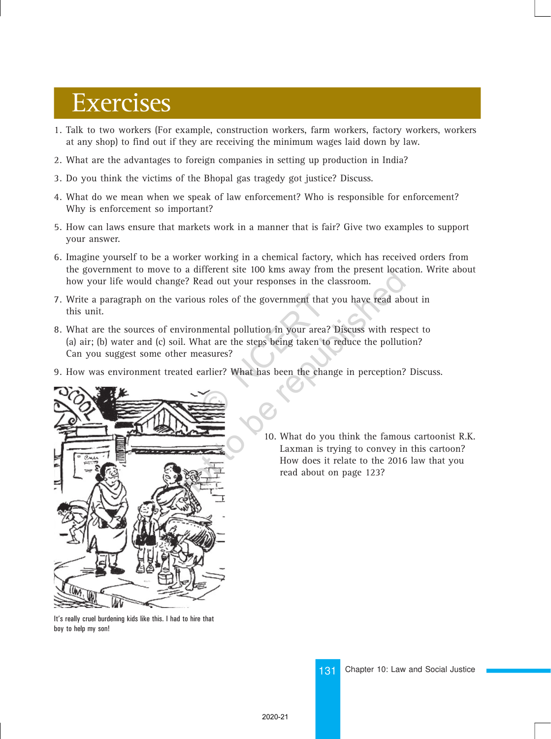# Exercises

- 1. Talk to two workers (For example, construction workers, farm workers, factory workers, workers at any shop) to find out if they are receiving the minimum wages laid down by law.
- 2. What are the advantages to foreign companies in setting up production in India?
- 3. Do you think the victims of the Bhopal gas tragedy got justice? Discuss.
- 4. What do we mean when we speak of law enforcement? Who is responsible for enforcement? Why is enforcement so important?
- 5. How can laws ensure that markets work in a manner that is fair? Give two examples to support your answer.
- 6. Imagine yourself to be a worker working in a chemical factory, which has received orders from the government to move to a different site 100 kms away from the present location. Write about how your life would change? Read out your responses in the classroom.
- 7. Write a paragraph on the various roles of the government that you have read about in this unit.
- 8. What are the sources of environmental pollution in your area? Discuss with respect to (a) air; (b) water and (c) soil. What are the steps being taken to reduce the pollution? Can you suggest some other measures? The state of the government that y<br>
internal pollution in your area?<br>
hat are the steps being taken to a<br>
reasures?<br>
Next has been the chang<br>
that has been the chang The republished about on page 123?<br>
The republished about the famous roles of the government that you have read about<br>
vironmental pollution in your area? Discuss with resp<br>
il. What are the steps being taken to reduce the
- 9. How was environment treated earlier? What has been the change in perception? Discuss.



10. What do you think the famous cartoonist R.K. Laxman is trying to convey in this cartoon? How does it relate to the 2016 law that you read about on page 123?

It's really cruel burdening kids like this. I had to hire that boy to help my son!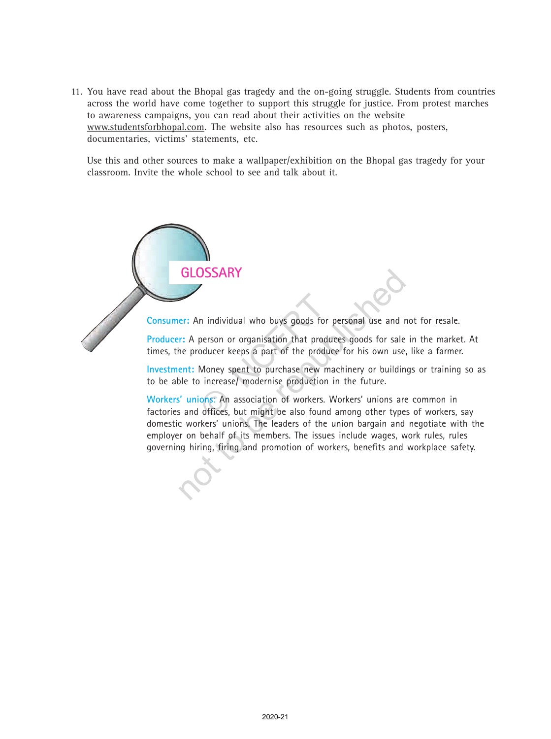11. You have read about the Bhopal gas tragedy and the on-going struggle. Students from countries across the world have come together to support this struggle for justice. From protest marches to awareness campaigns, you can read about their activities on the website www.studentsforbhopal.com. The website also has resources such as photos, posters, documentaries, victims' statements, etc.

Use this and other sources to make a wallpaper/exhibition on the Bhopal gas tragedy for your classroom. Invite the whole school to see and talk about it.



governing hiring, firing and promotion of workers, benefits and workplace safety.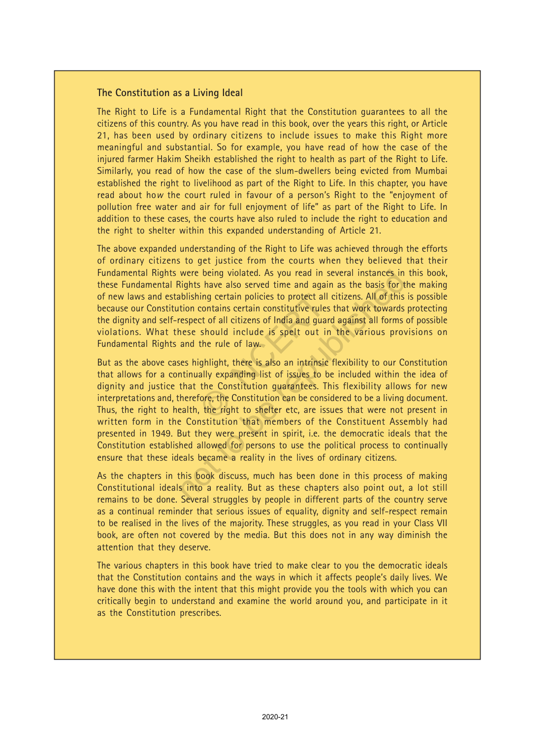### **The Constitution as a Living Ideal**

The Right to Life is a Fundamental Right that the Constitution guarantees to all the citizens of this country. As you have read in this book, over the years this right, or Article 21, has been used by ordinary citizens to include issues to make this Right more meaningful and substantial. So for example, you have read of how the case of the injured farmer Hakim Sheikh established the right to health as part of the Right to Life. Similarly, you read of how the case of the slum-dwellers being evicted from Mumbai established the right to livelihood as part of the Right to Life. In this chapter, you have read about ho*w* the court ruled in favour of a person's Right to the "enjoyment of pollution free water and air for full enjoyment of life" as part of the Right to Life. In addition to these cases, the courts have also ruled to include the right to education and the right to shelter within this expanded understanding of Article 21.

The above expanded understanding of the Right to Life was achieved through the efforts of ordinary citizens to get justice from the courts when they believed that their Fundamental Rights were being violated. As you read in several instances in this book, these Fundamental Rights have also served time and again as the basis for the making of new laws and establishing certain policies to protect all citizens. All of this is possible because our Constitution contains certain constitutive rules that work towards protecting the dignity and self-respect of all citizens of India and guard against all forms of possible violations. What these should include is spelt out in the various provisions on Fundamental Rights and the rule of law.

But as the above cases highlight, there is also an intrinsic flexibility to our Constitution that allows for a continually expanding list of issues to be included within the idea of dignity and justice that the Constitution guarantees. This flexibility allows for new interpretations and, therefore, the Constitution can be considered to be a living document. Thus, the right to health, the right to shelter etc, are issues that were not present in written form in the Constitution that members of the Constituent Assembly had presented in 1949. But they were present in spirit, i.e. the democratic ideals that the Constitution established allowed for persons to use the political process to continually ensure that these ideals became a reality in the lives of ordinary citizens. ing certain policies to protect all c<br>contains certain constitutive rules t<br>ct of all citizens of India and guard<br>should include is spelt out in<br>the rule of law.<br>ighlight, there is also an intrinsic f<br>ally expanding list o were being violated. As you read in several instances in<br>Rights have also served time and again as the basis for t<br>ablishing certain policies to protect all citizens. All of this<br>tion contains certain constitutive rules th

As the chapters in this book discuss, much has been done in this process of making Constitutional ideals into a reality. But as these chapters also point out, a lot still remains to be done. Several struggles by people in different parts of the country serve as a continual reminder that serious issues of equality, dignity and self-respect remain to be realised in the lives of the majority. These struggles, as you read in your Class VII book, are often not covered by the media. But this does not in any way diminish the attention that they deserve.

The various chapters in this book have tried to make clear to you the democratic ideals that the Constitution contains and the ways in which it affects people's daily lives. We have done this with the intent that this might provide you the tools with which you can critically begin to understand and examine the world around you, and participate in it as the Constitution prescribes.